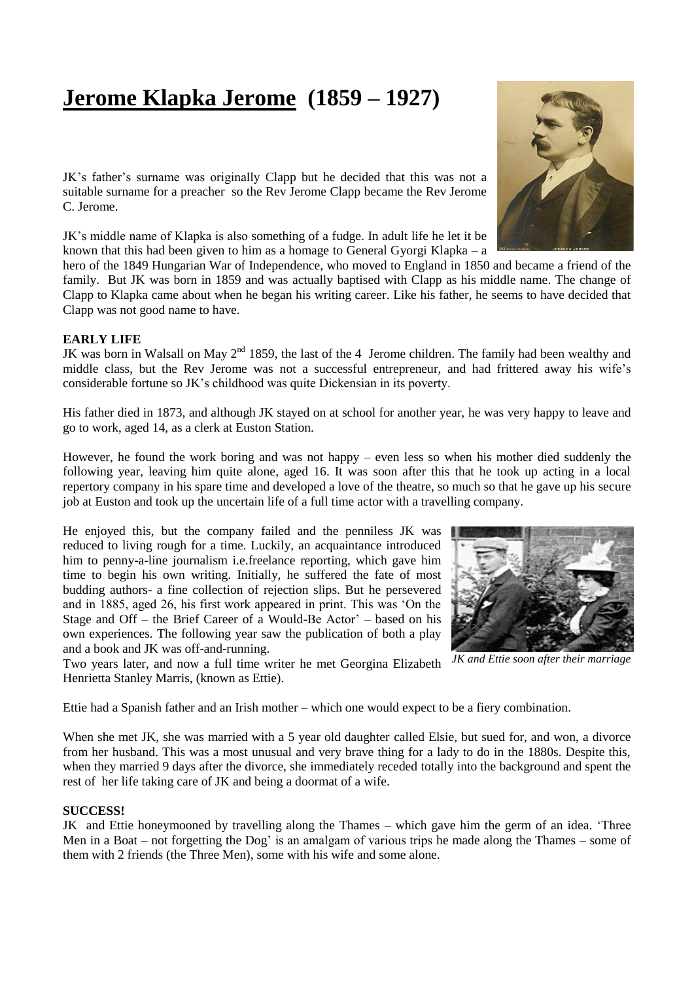## **Jerome Klapka Jerome (1859 – 1927)**

JK's father's surname was originally Clapp but he decided that this was not a suitable surname for a preacher so the Rev Jerome Clapp became the Rev Jerome C. Jerome.

JK's middle name of Klapka is also something of a fudge. In adult life he let it be known that this had been given to him as a homage to General Gyorgi Klapka – a

hero of the 1849 Hungarian War of Independence, who moved to England in 1850 and became a friend of the family. But JK was born in 1859 and was actually baptised with Clapp as his middle name. The change of Clapp to Klapka came about when he began his writing career. Like his father, he seems to have decided that Clapp was not good name to have.

## **EARLY LIFE**

JK was born in Walsall on May  $2<sup>nd</sup>$  1859, the last of the 4 Jerome children. The family had been wealthy and middle class, but the Rev Jerome was not a successful entrepreneur, and had frittered away his wife's considerable fortune so JK's childhood was quite Dickensian in its poverty.

His father died in 1873, and although JK stayed on at school for another year, he was very happy to leave and go to work, aged 14, as a clerk at Euston Station.

However, he found the work boring and was not happy – even less so when his mother died suddenly the following year, leaving him quite alone, aged 16. It was soon after this that he took up acting in a local repertory company in his spare time and developed a love of the theatre, so much so that he gave up his secure job at Euston and took up the uncertain life of a full time actor with a travelling company.

He enjoyed this, but the company failed and the penniless JK was reduced to living rough for a time. Luckily, an acquaintance introduced him to penny-a-line journalism i.e.freelance reporting, which gave him time to begin his own writing. Initially, he suffered the fate of most budding authors- a fine collection of rejection slips. But he persevered and in 1885, aged 26, his first work appeared in print. This was 'On the Stage and Off – the Brief Career of a Would-Be Actor' – based on his own experiences. The following year saw the publication of both a play and a book and JK was off-and-running.

Two years later, and now a full time writer he met Georgina Elizabeth Henrietta Stanley Marris, (known as Ettie).

Ettie had a Spanish father and an Irish mother – which one would expect to be a fiery combination.

When she met JK, she was married with a 5 year old daughter called Elsie, but sued for, and won, a divorce from her husband. This was a most unusual and very brave thing for a lady to do in the 1880s. Despite this, when they married 9 days after the divorce, she immediately receded totally into the background and spent the rest of her life taking care of JK and being a doormat of a wife.

## **SUCCESS!**

JK and Ettie honeymooned by travelling along the Thames – which gave him the germ of an idea. 'Three Men in a Boat – not forgetting the Dog' is an amalgam of various trips he made along the Thames – some of them with 2 friends (the Three Men), some with his wife and some alone.





*JK and Ettie soon after their marriage*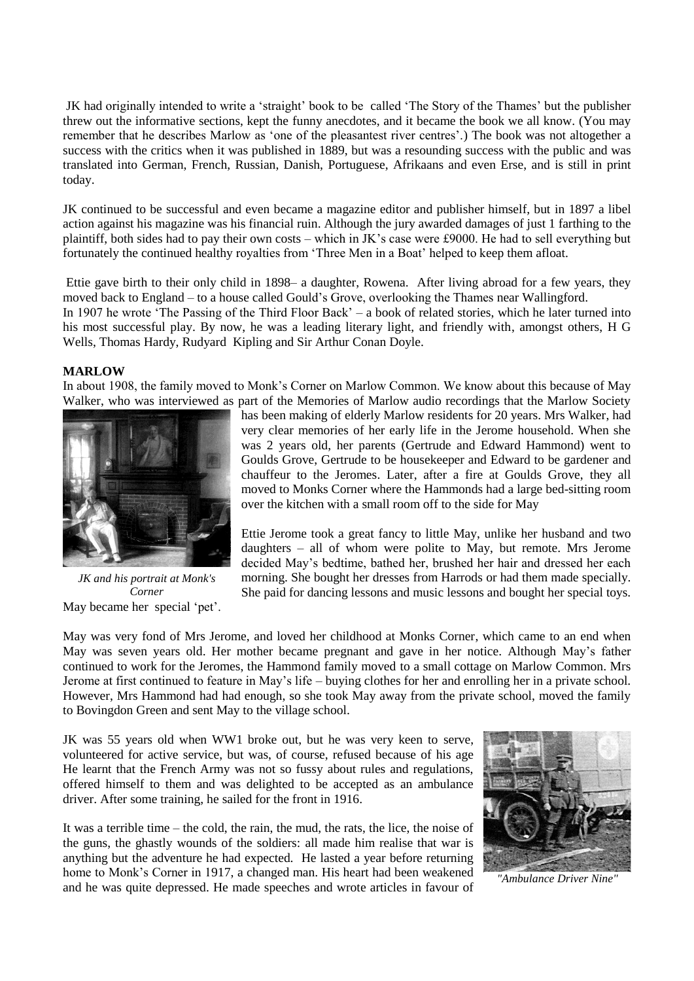JK had originally intended to write a 'straight' book to be called 'The Story of the Thames' but the publisher threw out the informative sections, kept the funny anecdotes, and it became the book we all know. (You may remember that he describes Marlow as 'one of the pleasantest river centres'.) The book was not altogether a success with the critics when it was published in 1889, but was a resounding success with the public and was translated into German, French, Russian, Danish, Portuguese, Afrikaans and even Erse, and is still in print today.

JK continued to be successful and even became a magazine editor and publisher himself, but in 1897 a libel action against his magazine was his financial ruin. Although the jury awarded damages of just 1 farthing to the plaintiff, both sides had to pay their own costs – which in JK's case were £9000. He had to sell everything but fortunately the continued healthy royalties from 'Three Men in a Boat' helped to keep them afloat.

Ettie gave birth to their only child in 1898– a daughter, Rowena. After living abroad for a few years, they moved back to England – to a house called Gould's Grove, overlooking the Thames near Wallingford. In 1907 he wrote 'The Passing of the Third Floor Back' – a book of related stories, which he later turned into his most successful play. By now, he was a leading literary light, and friendly with, amongst others, H G Wells, Thomas Hardy, Rudyard Kipling and Sir Arthur Conan Doyle.

## **MARLOW**

In about 1908, the family moved to Monk's Corner on Marlow Common. We know about this because of May Walker, who was interviewed as part of the Memories of Marlow audio recordings that the Marlow Society



May became her special 'pet'. *JK and his portrait at Monk's Corner*

has been making of elderly Marlow residents for 20 years. Mrs Walker, had very clear memories of her early life in the Jerome household. When she was 2 years old, her parents (Gertrude and Edward Hammond) went to Goulds Grove, Gertrude to be housekeeper and Edward to be gardener and chauffeur to the Jeromes. Later, after a fire at Goulds Grove, they all moved to Monks Corner where the Hammonds had a large bed-sitting room over the kitchen with a small room off to the side for May

Ettie Jerome took a great fancy to little May, unlike her husband and two daughters – all of whom were polite to May, but remote. Mrs Jerome decided May's bedtime, bathed her, brushed her hair and dressed her each morning. She bought her dresses from Harrods or had them made specially. She paid for dancing lessons and music lessons and bought her special toys.

May was very fond of Mrs Jerome, and loved her childhood at Monks Corner, which came to an end when May was seven years old. Her mother became pregnant and gave in her notice. Although May's father continued to work for the Jeromes, the Hammond family moved to a small cottage on Marlow Common. Mrs Jerome at first continued to feature in May's life – buying clothes for her and enrolling her in a private school. However, Mrs Hammond had had enough, so she took May away from the private school, moved the family to Bovingdon Green and sent May to the village school.

JK was 55 years old when WW1 broke out, but he was very keen to serve, volunteered for active service, but was, of course, refused because of his age He learnt that the French Army was not so fussy about rules and regulations, offered himself to them and was delighted to be accepted as an ambulance driver. After some training, he sailed for the front in 1916.

It was a terrible time – the cold, the rain, the mud, the rats, the lice, the noise of the guns, the ghastly wounds of the soldiers: all made him realise that war is anything but the adventure he had expected. He lasted a year before returning home to Monk's Corner in 1917, a changed man. His heart had been weakened and he was quite depressed. He made speeches and wrote articles in favour of



*"Ambulance Driver Nine"*